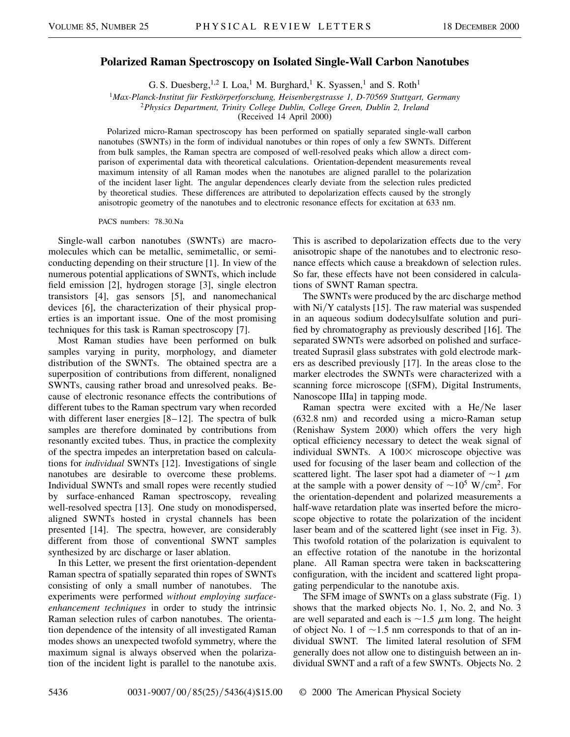## **Polarized Raman Spectroscopy on Isolated Single-Wall Carbon Nanotubes**

G. S. Duesberg,  $^{1,2}$  I. Loa,<sup>1</sup> M. Burghard,<sup>1</sup> K. Syassen,<sup>1</sup> and S. Roth<sup>1</sup>

<sup>1</sup>*Max-Planck-Institut für Festkörperforschung, Heisenbergstrasse 1, D-70569 Stuttgart, Germany*

<sup>2</sup>*Physics Department, Trinity College Dublin, College Green, Dublin 2, Ireland*

(Received 14 April 2000)

Polarized micro-Raman spectroscopy has been performed on spatially separated single-wall carbon nanotubes (SWNTs) in the form of individual nanotubes or thin ropes of only a few SWNTs. Different from bulk samples, the Raman spectra are composed of well-resolved peaks which allow a direct comparison of experimental data with theoretical calculations. Orientation-dependent measurements reveal maximum intensity of all Raman modes when the nanotubes are aligned parallel to the polarization of the incident laser light. The angular dependences clearly deviate from the selection rules predicted by theoretical studies. These differences are attributed to depolarization effects caused by the strongly anisotropic geometry of the nanotubes and to electronic resonance effects for excitation at 633 nm.

PACS numbers: 78.30.Na

Single-wall carbon nanotubes (SWNTs) are macromolecules which can be metallic, semimetallic, or semiconducting depending on their structure [1]. In view of the numerous potential applications of SWNTs, which include field emission [2], hydrogen storage [3], single electron transistors [4], gas sensors [5], and nanomechanical devices [6], the characterization of their physical properties is an important issue. One of the most promising techniques for this task is Raman spectroscopy [7].

Most Raman studies have been performed on bulk samples varying in purity, morphology, and diameter distribution of the SWNTs. The obtained spectra are a superposition of contributions from different, nonaligned SWNTs, causing rather broad and unresolved peaks. Because of electronic resonance effects the contributions of different tubes to the Raman spectrum vary when recorded with different laser energies [8–12]. The spectra of bulk samples are therefore dominated by contributions from resonantly excited tubes. Thus, in practice the complexity of the spectra impedes an interpretation based on calculations for *individual* SWNTs [12]. Investigations of single nanotubes are desirable to overcome these problems. Individual SWNTs and small ropes were recently studied by surface-enhanced Raman spectroscopy, revealing well-resolved spectra [13]. One study on monodispersed, aligned SWNTs hosted in crystal channels has been presented [14]. The spectra, however, are considerably different from those of conventional SWNT samples synthesized by arc discharge or laser ablation.

In this Letter, we present the first orientation-dependent Raman spectra of spatially separated thin ropes of SWNTs consisting of only a small number of nanotubes. The experiments were performed *without employing surfaceenhancement techniques* in order to study the intrinsic Raman selection rules of carbon nanotubes. The orientation dependence of the intensity of all investigated Raman modes shows an unexpected twofold symmetry, where the maximum signal is always observed when the polarization of the incident light is parallel to the nanotube axis. This is ascribed to depolarization effects due to the very anisotropic shape of the nanotubes and to electronic resonance effects which cause a breakdown of selection rules. So far, these effects have not been considered in calculations of SWNT Raman spectra.

The SWNTs were produced by the arc discharge method with  $Ni/Y$  catalysts [15]. The raw material was suspended in an aqueous sodium dodecylsulfate solution and purified by chromatography as previously described [16]. The separated SWNTs were adsorbed on polished and surfacetreated Suprasil glass substrates with gold electrode markers as described previously [17]. In the areas close to the marker electrodes the SWNTs were characterized with a scanning force microscope [(SFM), Digital Instruments, Nanoscope IIIa] in tapping mode.

Raman spectra were excited with a He/Ne laser (632.8 nm) and recorded using a micro-Raman setup (Renishaw System 2000) which offers the very high optical efficiency necessary to detect the weak signal of individual SWNTs. A  $100 \times$  microscope objective was used for focusing of the laser beam and collection of the scattered light. The laser spot had a diameter of  $\sim$ 1  $\mu$ m at the sample with a power density of  $\sim 10^5$  W/cm<sup>2</sup>. For the orientation-dependent and polarized measurements a half-wave retardation plate was inserted before the microscope objective to rotate the polarization of the incident laser beam and of the scattered light (see inset in Fig. 3). This twofold rotation of the polarization is equivalent to an effective rotation of the nanotube in the horizontal plane. All Raman spectra were taken in backscattering configuration, with the incident and scattered light propagating perpendicular to the nanotube axis.

The SFM image of SWNTs on a glass substrate (Fig. 1) shows that the marked objects No. 1, No. 2, and No. 3 are well separated and each is  $\sim$  1.5  $\mu$ m long. The height of object No. 1 of  $\sim$ 1.5 nm corresponds to that of an individual SWNT. The limited lateral resolution of SFM generally does not allow one to distinguish between an individual SWNT and a raft of a few SWNTs. Objects No. 2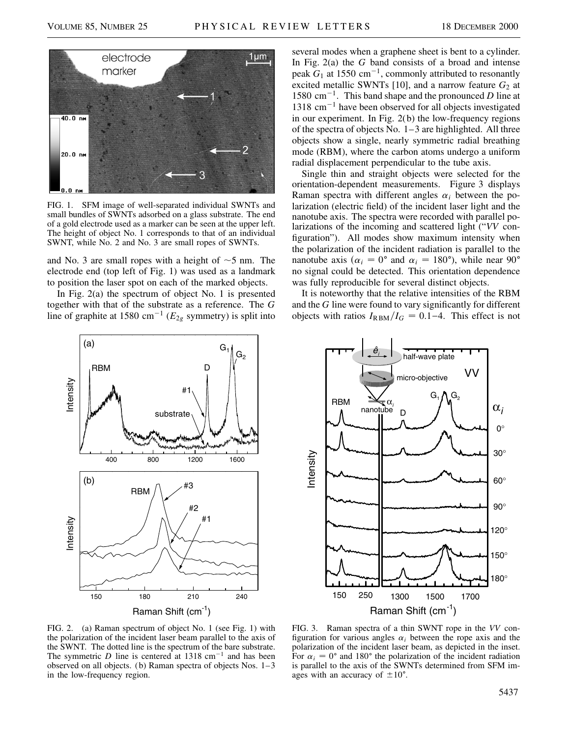

FIG. 1. SFM image of well-separated individual SWNTs and small bundles of SWNTs adsorbed on a glass substrate. The end of a gold electrode used as a marker can be seen at the upper left. The height of object No. 1 corresponds to that of an individual SWNT, while No. 2 and No. 3 are small ropes of SWNTs.

and No. 3 are small ropes with a height of  $\sim$  5 nm. The electrode end (top left of Fig. 1) was used as a landmark to position the laser spot on each of the marked objects.

In Fig. 2(a) the spectrum of object No. 1 is presented together with that of the substrate as a reference. The *G* line of graphite at 1580 cm<sup>-1</sup> ( $E_{2g}$  symmetry) is split into



several modes when a graphene sheet is bent to a cylinder. In Fig. 2(a) the *G* band consists of a broad and intense peak  $G_1$  at 1550 cm<sup>-1</sup>, commonly attributed to resonantly excited metallic SWNTs [10], and a narrow feature  $G_2$  at 1580  $\text{cm}^{-1}$ . This band shape and the pronounced *D* line at  $1318 \text{ cm}^{-1}$  have been observed for all objects investigated in our experiment. In Fig. 2(b) the low-frequency regions of the spectra of objects No. 1–3 are highlighted. All three objects show a single, nearly symmetric radial breathing mode (RBM), where the carbon atoms undergo a uniform radial displacement perpendicular to the tube axis.

Single thin and straight objects were selected for the orientation-dependent measurements. Figure 3 displays Raman spectra with different angles  $\alpha_i$  between the polarization (electric field) of the incident laser light and the nanotube axis. The spectra were recorded with parallel polarizations of the incoming and scattered light ("*VV* configuration"). All modes show maximum intensity when the polarization of the incident radiation is parallel to the nanotube axis ( $\alpha_i = 0^{\circ}$  and  $\alpha_i = 180^{\circ}$ ), while near 90<sup>o</sup> no signal could be detected. This orientation dependence was fully reproducible for several distinct objects.

It is noteworthy that the relative intensities of the RBM and the *G* line were found to vary significantly for different objects with ratios  $I_{\text{RBM}}/I_G = 0.1-4$ . This effect is not



FIG. 2. (a) Raman spectrum of object No. 1 (see Fig. 1) with the polarization of the incident laser beam parallel to the axis of the SWNT. The dotted line is the spectrum of the bare substrate. The symmetric *D* line is centered at  $1318 \text{ cm}^{-1}$  and has been observed on all objects. (b) Raman spectra of objects Nos. 1–3 in the low-frequency region.

FIG. 3. Raman spectra of a thin SWNT rope in the *VV* configuration for various angles  $\alpha_i$  between the rope axis and the polarization of the incident laser beam, as depicted in the inset. For  $\alpha_i = 0^\circ$  and 180° the polarization of the incident radiation is parallel to the axis of the SWNTs determined from SFM images with an accuracy of  $\pm 10^{\circ}$ .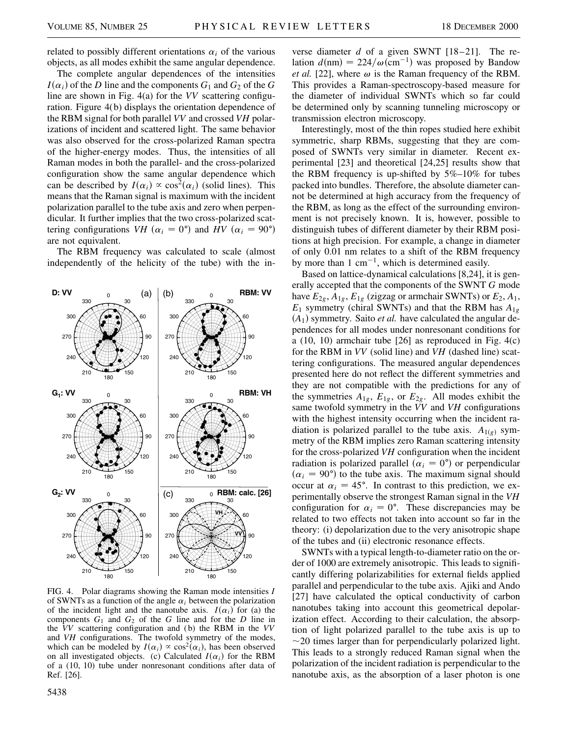related to possibly different orientations  $\alpha_i$  of the various objects, as all modes exhibit the same angular dependence.

The complete angular dependences of the intensities  $I(\alpha_i)$  of the *D* line and the components  $G_1$  and  $G_2$  of the *G* line are shown in Fig. 4(a) for the *VV* scattering configuration. Figure 4(b) displays the orientation dependence of the RBM signal for both parallel *VV* and crossed *VH* polarizations of incident and scattered light. The same behavior was also observed for the cross-polarized Raman spectra of the higher-energy modes. Thus, the intensities of all Raman modes in both the parallel- and the cross-polarized configuration show the same angular dependence which can be described by  $I(\alpha_i) \propto \cos^2(\alpha_i)$  (solid lines). This means that the Raman signal is maximum with the incident polarization parallel to the tube axis and zero when perpendicular. It further implies that the two cross-polarized scattering configurations *VH* ( $\alpha_i = 0^\circ$ ) and *HV* ( $\alpha_i = 90^\circ$ ) are not equivalent.

The RBM frequency was calculated to scale (almost independently of the helicity of the tube) with the in-



FIG. 4. Polar diagrams showing the Raman mode intensities *I* of SWNTs as a function of the angle  $\alpha_i$  between the polarization of the incident light and the nanotube axis.  $I(\alpha_i)$  for (a) the components  $G_1$  and  $G_2$  of the  $G$  line and for the  $D$  line in the *VV* scattering configuration and (b) the RBM in the *VV* and *VH* configurations. The twofold symmetry of the modes, which can be modeled by  $I(\alpha_i) \propto \cos^2(\alpha_i)$ , has been observed on all investigated objects. (c) Calculated  $I(\alpha_i)$  for the RBM of a (10, 10) tube under nonresonant conditions after data of Ref. [26].

5438

verse diameter *d* of a given SWNT [18–21]. The relation  $d(nm) = 224/\omega(cm^{-1})$  was proposed by Bandow *et al.* [22], where  $\omega$  is the Raman frequency of the RBM. This provides a Raman-spectroscopy-based measure for the diameter of individual SWNTs which so far could be determined only by scanning tunneling microscopy or transmission electron microscopy.

Interestingly, most of the thin ropes studied here exhibit symmetric, sharp RBMs, suggesting that they are composed of SWNTs very similar in diameter. Recent experimental [23] and theoretical [24,25] results show that the RBM frequency is up-shifted by  $5\%$ –10% for tubes packed into bundles. Therefore, the absolute diameter cannot be determined at high accuracy from the frequency of the RBM, as long as the effect of the surrounding environment is not precisely known. It is, however, possible to distinguish tubes of different diameter by their RBM positions at high precision. For example, a change in diameter of only 0.01 nm relates to a shift of the RBM frequency by more than  $1 \text{ cm}^{-1}$ , which is determined easily.

Based on lattice-dynamical calculations [8,24], it is generally accepted that the components of the SWNT *G* mode have  $E_{2g}$ ,  $A_{1g}$ ,  $E_{1g}$  (zigzag or armchair SWNTs) or  $E_2$ ,  $A_1$ ,  $E_1$  symmetry (chiral SWNTs) and that the RBM has  $A_{1g}$  $(A_1)$  symmetry. Saito *et al*. have calculated the angular dependences for all modes under nonresonant conditions for a (10, 10) armchair tube [26] as reproduced in Fig. 4(c) for the RBM in *VV* (solid line) and *VH* (dashed line) scattering configurations. The measured angular dependences presented here do not reflect the different symmetries and they are not compatible with the predictions for any of the symmetries  $A_{1g}$ ,  $E_{1g}$ , or  $E_{2g}$ . All modes exhibit the same twofold symmetry in the *VV* and *VH* configurations with the highest intensity occurring when the incident radiation is polarized parallel to the tube axis.  $A_{1(g)}$  symmetry of the RBM implies zero Raman scattering intensity for the cross-polarized *VH* configuration when the incident radiation is polarized parallel  $(\alpha_i = 0)$  or perpendicular  $(\alpha_i = 90^{\circ})$  to the tube axis. The maximum signal should occur at  $\alpha_i = 45^\circ$ . In contrast to this prediction, we experimentally observe the strongest Raman signal in the *VH* configuration for  $\alpha_i = 0^{\circ}$ . These discrepancies may be related to two effects not taken into account so far in the theory: (i) depolarization due to the very anisotropic shape of the tubes and (ii) electronic resonance effects.

SWNTs with a typical length-to-diameter ratio on the order of 1000 are extremely anisotropic. This leads to significantly differing polarizabilities for external fields applied parallel and perpendicular to the tube axis. Ajiki and Ando [27] have calculated the optical conductivity of carbon nanotubes taking into account this geometrical depolarization effect. According to their calculation, the absorption of light polarized parallel to the tube axis is up to  $\sim$  20 times larger than for perpendicularly polarized light. This leads to a strongly reduced Raman signal when the polarization of the incident radiation is perpendicular to the nanotube axis, as the absorption of a laser photon is one